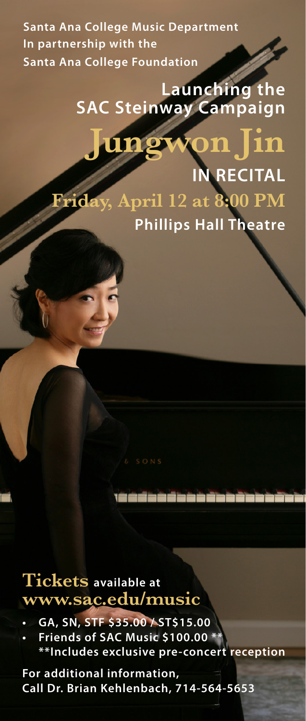**Santa Ana College Music Department In partnership with the Santa Ana College Foundation**

## **Launching the SAC Steinway Campaign**

**Friday, April 12 at 8:00 PM**

**Jungwon Jin**

**Phillips Hall Theatre**

**IN RECITAL**

## **Tickets available at www.sac.edu/music**

- **• GA, SN, STF \$35.00 / ST\$15.00**
- **• Friends of SAC Music \$100.00 \*\* \*\*Includes exclusive pre-concert reception**

زحادة خاطف خاطف فالتشف

**For additional information, Call Dr. Brian Kehlenbach, 714-564-5653**